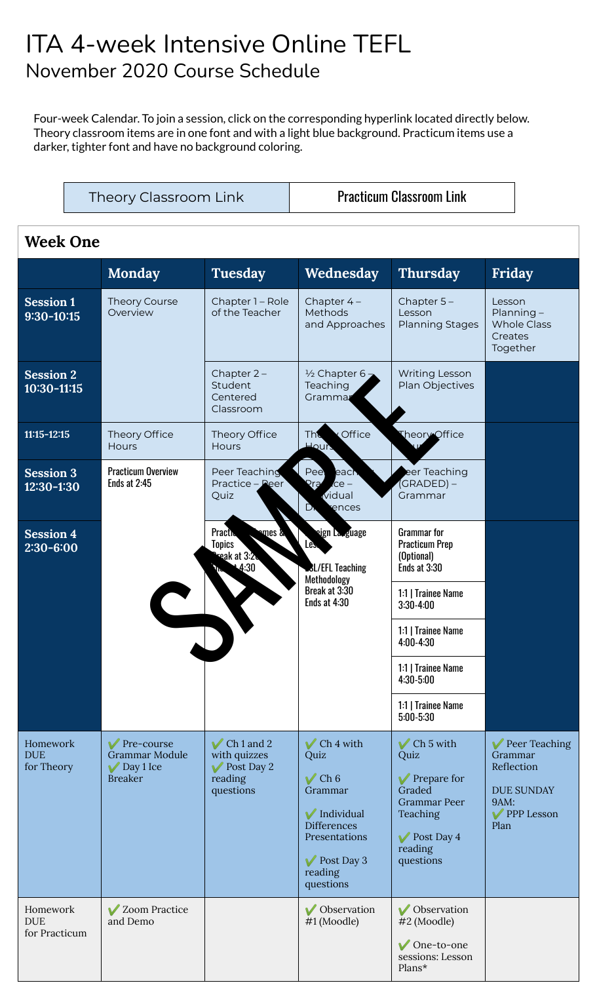## ITA 4-week Intensive Online TEFL November 2020 Course Schedule

Four-week Calendar. To join a session, click on the corresponding hyperlink located directly below. Theory classroom items are in one font and with a light blue background. Practicum items use a darker, tighter font and have no background coloring.

Theory Classroom Link | Practicum Classroom Link

#### **Week One**

|                                         | <b>Monday</b>                                                             | <b>Tuesday</b>                                                                      | Wednesday                                                                                                                                                                                           | <b>Thursday</b>                                                                                                                                      | Friday                                                                                    |
|-----------------------------------------|---------------------------------------------------------------------------|-------------------------------------------------------------------------------------|-----------------------------------------------------------------------------------------------------------------------------------------------------------------------------------------------------|------------------------------------------------------------------------------------------------------------------------------------------------------|-------------------------------------------------------------------------------------------|
| <b>Session 1</b><br>$9:30 - 10:15$      | Theory Course<br>Overview                                                 | Chapter 1 - Role<br>of the Teacher                                                  | Chapter $4-$<br>Methods<br>and Approaches                                                                                                                                                           | Chapter $5-$<br>Lesson<br><b>Planning Stages</b>                                                                                                     | Lesson<br>$Planning-$<br><b>Whole Class</b><br>Creates<br>Together                        |
| <b>Session 2</b><br>10:30-11:15         |                                                                           | Chapter $2 -$<br>Student<br>Centered<br>Classroom                                   | $\frac{1}{2}$ Chapter 6 -<br>Teaching<br>Grammar                                                                                                                                                    | <b>Writing Lesson</b><br>Plan Objectives                                                                                                             |                                                                                           |
| $11:15 - 12:15$                         | Theory Office<br><b>Hours</b>                                             | Theory Office<br><b>Hours</b>                                                       | Office<br><b>The</b><br>Hours                                                                                                                                                                       | Theory Office                                                                                                                                        |                                                                                           |
| <b>Session 3</b><br>12:30-1:30          | <b>Practicum Overview</b><br><b>Ends at 2:45</b>                          | Peer Teaching<br>Practice - Peer<br>Quiz                                            | Pee<br>each<br><b>Pra</b><br>$ce -$<br>vidual<br>D.<br>ences                                                                                                                                        | eer Teaching<br>(GRADED) –<br>Grammar                                                                                                                |                                                                                           |
| <b>Session 4</b><br>2:30-6:00           |                                                                           | <b>Practic</b><br>omes &<br><b>Topics</b><br>reak at 3:2.<br>$+4:30$                | sign La <sub>ng</sub> uage<br>Les.<br><b>BL/EFL Teaching</b><br>Methodology<br>Break at 3:30<br>Ends at 4:30                                                                                        | <b>Grammar</b> for<br><b>Practicum Prep</b><br>(Optional)<br>Ends at 3:30                                                                            |                                                                                           |
|                                         |                                                                           |                                                                                     |                                                                                                                                                                                                     | 1:1   Trainee Name<br>$3:30 - 4:00$                                                                                                                  |                                                                                           |
|                                         |                                                                           |                                                                                     |                                                                                                                                                                                                     | 1:1   Trainee Name<br>$4:00 - 4:30$                                                                                                                  |                                                                                           |
|                                         |                                                                           |                                                                                     |                                                                                                                                                                                                     | 1:1   Trainee Name<br>4:30-5:00                                                                                                                      |                                                                                           |
|                                         |                                                                           |                                                                                     |                                                                                                                                                                                                     | 1:1   Trainee Name<br>$5:00 - 5:30$                                                                                                                  |                                                                                           |
| Homework<br><b>DUE</b><br>for Theory    | Pre-course<br><b>Grammar Module</b><br>$\vee$ Day 1 Ice<br><b>Breaker</b> | $\vee$ Ch 1 and 2<br>with quizzes<br>$\sqrt{\ }$ Post Day 2<br>reading<br>questions | $\vee$ Ch <sub>4</sub> with<br>Quiz<br>$\sqrt{\mathop{\mathrm{Ch}} 6}$<br>Grammar<br>V Individual<br><b>Differences</b><br>Presentations<br>$\sqrt{\phantom{1}}$ Post Day 3<br>reading<br>questions | $\sqrt{\frac{C}{C}}$ Ch 5 with<br>Quiz<br>$\sqrt{\ }$ Prepare for<br>Graded<br><b>Grammar Peer</b><br>Teaching<br>Post Day 4<br>reading<br>questions | Peer Teaching<br>Grammar<br>Reflection<br><b>DUE SUNDAY</b><br>9AM:<br>PPP Lesson<br>Plan |
| Homework<br><b>DUE</b><br>for Practicum | ✔ Zoom Practice<br>and Demo                                               |                                                                                     | V Observation<br>#1 (Moodle)                                                                                                                                                                        | <b>V</b> Observation<br>#2 (Moodle)<br>$\sqrt{\text{One-to-one}}$<br>sessions: Lesson<br>Plans*                                                      |                                                                                           |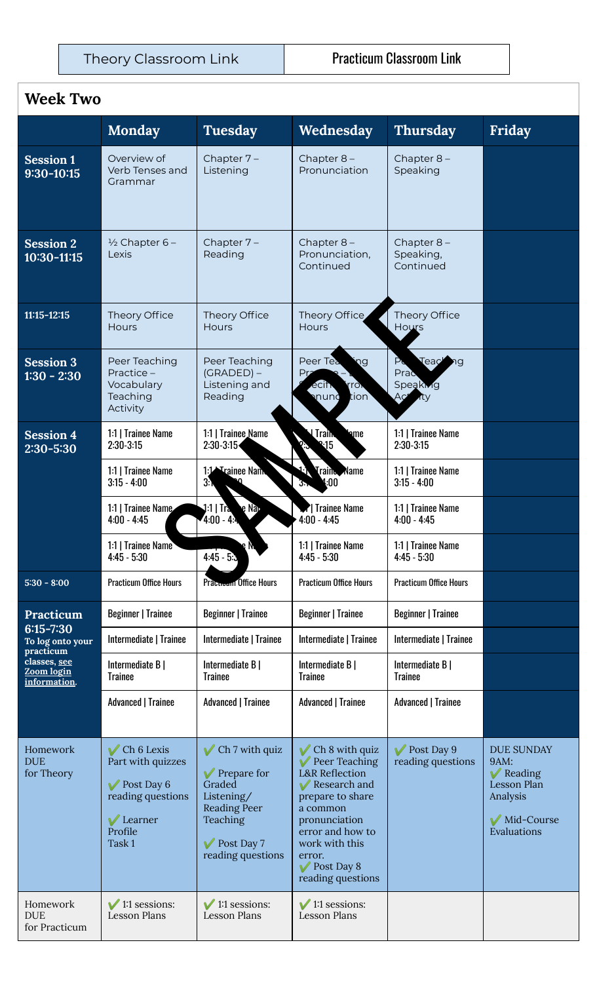#### **Week Two**

|                                                                                              | <b>Monday</b>                                                                                                         | <b>Tuesday</b>                                                                                                                                                                       | Wednesday                                                                                                                                                                                                        | <b>Thursday</b>                                      | Friday                                                                                                            |
|----------------------------------------------------------------------------------------------|-----------------------------------------------------------------------------------------------------------------------|--------------------------------------------------------------------------------------------------------------------------------------------------------------------------------------|------------------------------------------------------------------------------------------------------------------------------------------------------------------------------------------------------------------|------------------------------------------------------|-------------------------------------------------------------------------------------------------------------------|
| <b>Session 1</b><br>9:30-10:15                                                               | Overview of<br>Verb Tenses and<br>Grammar                                                                             | Chapter $7-$<br>Listening                                                                                                                                                            | Chapter $8-$<br>Pronunciation                                                                                                                                                                                    | Chapter 8-<br>Speaking                               |                                                                                                                   |
| <b>Session 2</b><br>10:30-11:15                                                              | $\frac{1}{2}$ Chapter 6 –<br>Lexis                                                                                    | Chapter $7-$<br>Reading                                                                                                                                                              | Chapter $8-$<br>Pronunciation,<br>Continued                                                                                                                                                                      | Chapter 8-<br>Speaking,<br>Continued                 |                                                                                                                   |
| $11:15 - 12:15$                                                                              | Theory Office<br>Hours                                                                                                | Theory Office<br><b>Hours</b>                                                                                                                                                        | Theory Office<br>Hours                                                                                                                                                                                           | Theory Office<br>Hours                               |                                                                                                                   |
| <b>Session 3</b><br>$1:30 - 2:30$                                                            | Peer Teaching<br>Practice-<br>Vocabulary<br>Teaching<br>Activity                                                      | Peer Teaching<br>$(GRADED) -$<br>Listening and<br>Reading                                                                                                                            | Peer Tea<br>ηg<br>Pr <sub>2</sub><br>ecin.<br>rron<br>mund<br>tion`                                                                                                                                              | Teaching<br>$P_{G}$<br>Prac<br>Speaking<br>Aç<br>rtv |                                                                                                                   |
| <b>Session 4</b><br>$2:30 - 5:30$                                                            | 1:1   Trainee Name<br>$2:30-3:15$                                                                                     | 1:1   Trainee Name<br>$2:30-3:15$                                                                                                                                                    | <b>UTrain</b><br>ame<br>2.15                                                                                                                                                                                     | 1:1   Trainee Name<br>$2:30-3:15$                    |                                                                                                                   |
|                                                                                              | 1:1   Trainee Name<br>$3:15 - 4:00$                                                                                   | 1:1 <sup>1</sup> Trainee Nam.<br>3.1                                                                                                                                                 | Train Name<br>l:00<br>კ.,                                                                                                                                                                                        | 1:1   Trainee Name<br>$3:15 - 4:00$                  |                                                                                                                   |
|                                                                                              | 1:1   Trainee Name<br>$4:00 - 4:45$                                                                                   | $1:1 \mid \text{Tra}$<br>e Nap<br>4:00 - 4:4                                                                                                                                         | <b>7</b> Trainee Name<br>$4:00 - 4:45$                                                                                                                                                                           | 1:1   Trainee Name<br>$4:00 - 4:45$                  |                                                                                                                   |
|                                                                                              | 1:1   Trainee Name<br>$4:45 - 5:30$                                                                                   | $4:45 - 5:3$                                                                                                                                                                         | 1:1   Trainee Name<br>$4:45 - 5:30$                                                                                                                                                                              | 1:1   Trainee Name<br>$4:45 - 5:30$                  |                                                                                                                   |
| $5:30 - 8:00$                                                                                | <b>Practicum Office Hours</b>                                                                                         | Prattwood Office Hours                                                                                                                                                               | <b>Practicum Office Hours</b>                                                                                                                                                                                    | <b>Practicum Office Hours</b>                        |                                                                                                                   |
| Practicum                                                                                    | <b>Beginner   Trainee</b>                                                                                             | <b>Beginner   Trainee</b>                                                                                                                                                            | <b>Beginner   Trainee</b>                                                                                                                                                                                        | <b>Beginner   Trainee</b>                            |                                                                                                                   |
| $6:15 - 7:30$<br>To log onto your<br>practicum<br>classes, see<br>Zoom login<br>information. | Intermediate   Trainee                                                                                                | Intermediate   Trainee                                                                                                                                                               | Intermediate   Trainee                                                                                                                                                                                           | Intermediate   Trainee                               |                                                                                                                   |
|                                                                                              | Intermediate B  <br><b>Trainee</b>                                                                                    | Intermediate B  <br><b>Trainee</b>                                                                                                                                                   | Intermediate B  <br><b>Trainee</b>                                                                                                                                                                               | Intermediate B  <br><b>Trainee</b>                   |                                                                                                                   |
|                                                                                              | <b>Advanced   Trainee</b>                                                                                             | <b>Advanced   Trainee</b>                                                                                                                                                            | <b>Advanced   Trainee</b>                                                                                                                                                                                        | <b>Advanced   Trainee</b>                            |                                                                                                                   |
| Homework<br><b>DUE</b><br>for Theory                                                         | $\vee$ Ch 6 Lexis<br>Part with quizzes<br>$\sqrt{\ }$ Post Day 6<br>reading questions<br>Learner<br>Profile<br>Task 1 | $\sqrt{\frac{C_{\text{th}}}{C_{\text{th}}}}$ Ch 7 with quiz<br>$\sqrt{\ }$ Prepare for<br>Graded<br>Listening/<br><b>Reading Peer</b><br>Teaching<br>Post Day 7<br>reading questions | Ch 8 with quiz<br>Peer Teaching<br><b>L&amp;R</b> Reflection<br>Research and<br>prepare to share<br>a common<br>pronunciation<br>error and how to<br>work with this<br>error.<br>Post Day 8<br>reading questions | $\sqrt{\phantom{1}}$ Post Day 9<br>reading questions | <b>DUE SUNDAY</b><br>9AM:<br>$\sqrt{\phantom{a}}$ Reading<br>Lesson Plan<br>Analysis<br>Mid-Course<br>Evaluations |
| Homework<br><b>DUE</b><br>for Practicum                                                      | $\sqrt{1:1}$ sessions:<br><b>Lesson Plans</b>                                                                         | $\sqrt{1:1}$ sessions:<br><b>Lesson Plans</b>                                                                                                                                        | $\sqrt{1:1}$ sessions:<br><b>Lesson Plans</b>                                                                                                                                                                    |                                                      |                                                                                                                   |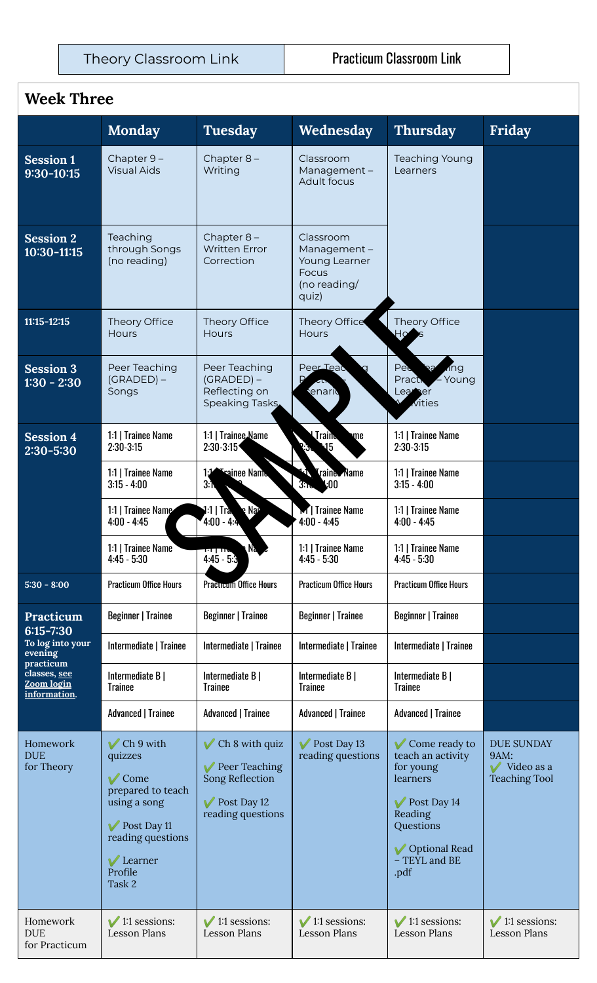Theory Classroom Link | Practicum Classroom Link

### **Week Three**

|                                                                                                                             | <b>Monday</b>                                                                                                                                            | <b>Tuesday</b>                                                                                | Wednesday                                                                          | <b>Thursday</b>                                                                                                                                                   | Friday                                                                 |
|-----------------------------------------------------------------------------------------------------------------------------|----------------------------------------------------------------------------------------------------------------------------------------------------------|-----------------------------------------------------------------------------------------------|------------------------------------------------------------------------------------|-------------------------------------------------------------------------------------------------------------------------------------------------------------------|------------------------------------------------------------------------|
| <b>Session 1</b><br>9:30-10:15                                                                                              | Chapter 9-<br><b>Visual Aids</b>                                                                                                                         | Chapter $8-$<br>Writing                                                                       | Classroom<br>Management-<br>Adult focus                                            | <b>Teaching Young</b><br>Learners                                                                                                                                 |                                                                        |
| <b>Session 2</b><br>10:30-11:15                                                                                             | Teaching<br>through Songs<br>(no reading)                                                                                                                | Chapter $8-$<br><b>Written Error</b><br>Correction                                            | Classroom<br>Management-<br>Young Learner<br><b>Focus</b><br>(no reading/<br>quiz) |                                                                                                                                                                   |                                                                        |
| $11:15 - 12:15$                                                                                                             | Theory Office<br>Hours                                                                                                                                   | Theory Office<br>Hours                                                                        | Theory Office<br><b>Hours</b>                                                      | Theory Office<br>Ho                                                                                                                                               |                                                                        |
| <b>Session 3</b><br>$1:30 - 2:30$                                                                                           | Peer Teaching<br>$(GRADED) -$<br>Songs                                                                                                                   | Peer Teaching<br>$(GRADED) -$<br>Reflecting on<br>Speaking Tasks                              | Peer Teac<br>enario                                                                | Pee<br>ang<br>Practi<br>Young<br>Learer<br>vities                                                                                                                 |                                                                        |
| <b>Session 4</b><br>2:30-5:30                                                                                               | 1:1   Trainee Name<br>$2:30-3:15$                                                                                                                        | 1:1   Trainee Name<br>$2:30-3:15$                                                             | <b>Train</b><br>me<br>15                                                           | 1:1   Trainee Name<br>$2:30-3:15$                                                                                                                                 |                                                                        |
|                                                                                                                             | 1:1   Trainee Name<br>$3:15 - 4:00$                                                                                                                      | <b>Exainee Name</b><br>3.1                                                                    | <b>Traine Name</b><br>k00<br>3n <sub>o</sub>                                       | 1:1   Trainee Name<br>$3:15 - 4:00$                                                                                                                               |                                                                        |
|                                                                                                                             | 1:1   Trainee Name<br>$4:00 - 4:45$                                                                                                                      | :1   Tra<br>e Nar<br>$4:00 - 4:4$                                                             | M   Trainee Name<br>$4:00 - 4:45$                                                  | 1:1   Trainee Name<br>$4:00 - 4:45$                                                                                                                               |                                                                        |
|                                                                                                                             | 1:1   Trainee Name<br>$4:45 - 5:30$                                                                                                                      | חון דיד<br>$4:45 - 5:3$                                                                       | 1:1   Trainee Name<br>$4:45 - 5:30$                                                | 1:1   Trainee Name<br>$4:45 - 5:30$                                                                                                                               |                                                                        |
| $5:30 - 8:00$                                                                                                               | <b>Practicum Office Hours</b>                                                                                                                            | <b>Practicum Office Hours</b>                                                                 | <b>Practicum Office Hours</b>                                                      | <b>Practicum Office Hours</b>                                                                                                                                     |                                                                        |
| <b>Practicum</b><br>$6:15 - 7:30$<br>To log into your<br>evening<br>practicum<br>classes, see<br>Zoom login<br>information. | <b>Beginner   Trainee</b>                                                                                                                                | <b>Beginner   Trainee</b>                                                                     | <b>Beginner   Trainee</b>                                                          | <b>Beginner   Trainee</b>                                                                                                                                         |                                                                        |
|                                                                                                                             | Intermediate   Trainee                                                                                                                                   | Intermediate   Trainee                                                                        | Intermediate   Trainee                                                             | Intermediate   Trainee                                                                                                                                            |                                                                        |
|                                                                                                                             | Intermediate B  <br><b>Trainee</b>                                                                                                                       | Intermediate B  <br><b>Trainee</b>                                                            | Intermediate B  <br><b>Trainee</b>                                                 | Intermediate B  <br>Trainee                                                                                                                                       |                                                                        |
|                                                                                                                             | <b>Advanced   Trainee</b>                                                                                                                                | <b>Advanced   Trainee</b>                                                                     | <b>Advanced   Trainee</b>                                                          | <b>Advanced   Trainee</b>                                                                                                                                         |                                                                        |
| Homework<br><b>DUE</b><br>for Theory                                                                                        | $\vee$ Ch 9 with<br>quizzes<br>$\sqrt{\ }$ Come<br>prepared to teach<br>using a song<br>Post Day 11<br>reading questions<br>Learner<br>Profile<br>Task 2 | $\vee$ Ch 8 with quiz<br>Peer Teaching<br>Song Reflection<br>Post Day 12<br>reading questions | Post Day 13<br>reading questions                                                   | $\sqrt{\ }$ Come ready to<br>teach an activity<br>for young<br>learners<br>Post Day 14<br>Reading<br>Questions<br><b>V</b> Optional Read<br>- TEYL and BE<br>.pdf | <b>DUE SUNDAY</b><br>9AM:<br>$\vee$ Video as a<br><b>Teaching Tool</b> |
| Homework<br><b>DUE</b><br>for Practicum                                                                                     | $\sqrt{1:1}$ sessions:<br><b>Lesson Plans</b>                                                                                                            | $\sqrt{1:1}$ sessions:<br><b>Lesson Plans</b>                                                 | $\sqrt{1:1}$ sessions:<br><b>Lesson Plans</b>                                      | $\sqrt{1:1}$ sessions:<br><b>Lesson Plans</b>                                                                                                                     | $\sqrt{1:1}$ sessions:<br><b>Lesson Plans</b>                          |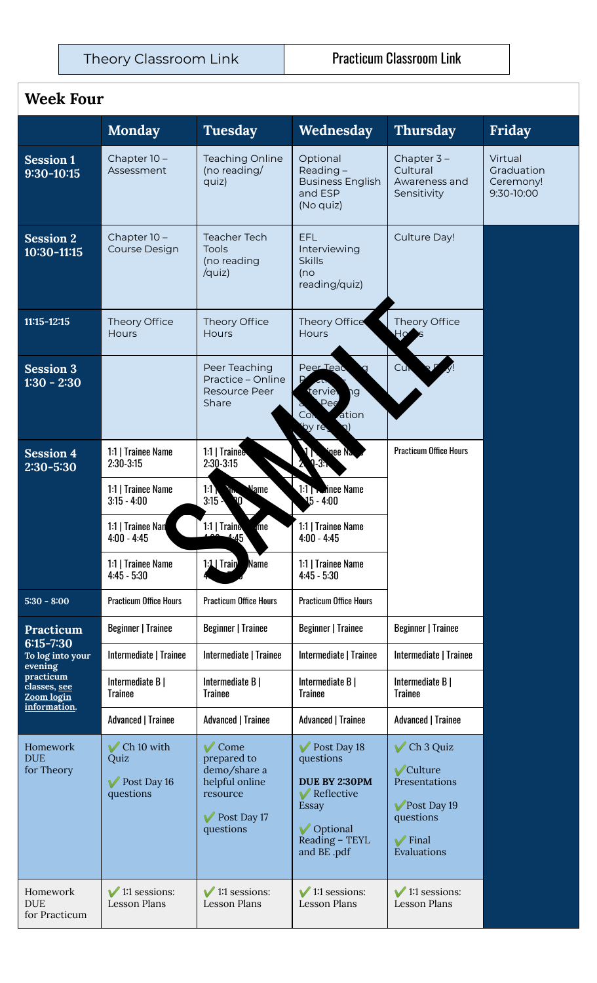#### **Week Four**

|                                                                                                         | <b>Monday</b>                                         | <b>Tuesday</b>                                                                                                | Wednesday                                                                                                              | <b>Thursday</b>                                                                                                | Friday                                           |
|---------------------------------------------------------------------------------------------------------|-------------------------------------------------------|---------------------------------------------------------------------------------------------------------------|------------------------------------------------------------------------------------------------------------------------|----------------------------------------------------------------------------------------------------------------|--------------------------------------------------|
| <b>Session 1</b><br>$9:30 - 10:15$                                                                      | Chapter 10-<br>Assessment                             | <b>Teaching Online</b><br>(no reading/<br>quiz)                                                               | Optional<br>Reading $-$<br><b>Business English</b><br>and ESP<br>(No quiz)                                             | Chapter $3 -$<br>Cultural<br>Awareness and<br>Sensitivity                                                      | Virtual<br>Graduation<br>Ceremony!<br>9:30-10:00 |
| <b>Session 2</b><br>10:30-11:15                                                                         | Chapter 10 -<br>Course Design                         | <b>Teacher Tech</b><br>Tools<br>(no reading<br>/quiz)                                                         | EFL<br>Interviewing<br><b>Skills</b><br>(no<br>reading/quiz)                                                           | Culture Day!                                                                                                   |                                                  |
| $11:15 - 12:15$                                                                                         | Theory Office<br>Hours                                | Theory Office<br><b>Hours</b>                                                                                 | Theory Office<br><b>Hours</b>                                                                                          | Theory Office<br>Ho                                                                                            |                                                  |
| <b>Session 3</b><br>$1:30 - 2:30$                                                                       |                                                       | Peer Teaching<br>Practice - Online<br>Resource Peer<br>Share                                                  | Peer Teac<br>terviel<br>þg<br>Pee<br>ation<br>Con<br>by re-                                                            | Cur                                                                                                            |                                                  |
| <b>Session 4</b><br>$2:30 - 5:30$                                                                       | 1:1   Trainee Name<br>$2:30-3:15$                     | 1:1   Trainee<br>$2:30-3:15$                                                                                  | inee Na<br>13.                                                                                                         | <b>Practicum Office Hours</b>                                                                                  |                                                  |
|                                                                                                         | 1:1   Trainee Name<br>$3:15 - 4:00$                   | <b>Name</b><br>11<br><b>Ally</b><br>3:15<br>V)                                                                | 1:1   <b>National Property</b> Name<br>$15 - 4:00$                                                                     |                                                                                                                |                                                  |
|                                                                                                         | 1:1   Trainee Nan<br>$4:00 - 4:45$                    | 1:1   Traine<br>me<br>$-45$                                                                                   | 1:1   Trainee Name<br>$4:00 - 4:45$                                                                                    |                                                                                                                |                                                  |
|                                                                                                         | 1:1   Trainee Name<br>$4:45 - 5:30$                   | Name<br>$1:1$ Train                                                                                           | 1:1   Trainee Name<br>$4:45 - 5:30$                                                                                    |                                                                                                                |                                                  |
| $5:30 - 8:00$                                                                                           | <b>Practicum Office Hours</b>                         | <b>Practicum Office Hours</b>                                                                                 | <b>Practicum Office Hours</b>                                                                                          |                                                                                                                |                                                  |
| Practicum                                                                                               | <b>Beginner   Trainee</b>                             | <b>Beginner   Trainee</b>                                                                                     | <b>Beginner   Trainee</b>                                                                                              | <b>Beginner   Trainee</b>                                                                                      |                                                  |
| $6:15 - 7:30$<br>To log into your<br>evening<br>practicum<br>classes, see<br>Zoom login<br>information. | Intermediate   Trainee                                | Intermediate   Trainee                                                                                        | Intermediate   Trainee                                                                                                 | Intermediate   Trainee                                                                                         |                                                  |
|                                                                                                         | Intermediate B  <br><b>Trainee</b>                    | Intermediate B  <br><b>Trainee</b>                                                                            | Intermediate B  <br><b>Trainee</b>                                                                                     | Intermediate B  <br><b>Trainee</b>                                                                             |                                                  |
|                                                                                                         | <b>Advanced   Trainee</b>                             | <b>Advanced   Trainee</b>                                                                                     | <b>Advanced   Trainee</b>                                                                                              | Advanced   Trainee                                                                                             |                                                  |
| Homework<br><b>DUE</b><br>for Theory                                                                    | $\vee$ Ch 10 with<br>Quiz<br>Post Day 16<br>questions | $\sqrt{\text{Come}}$<br>prepared to<br>demo/share a<br>helpful online<br>resource<br>Post Day 17<br>questions | Post Day 18<br>questions<br><b>DUE BY 2:30PM</b><br>Reflective<br>Essay<br>✔ Optional<br>Reading - TEYL<br>and BE .pdf | $\vee$ Ch 3 Quiz<br>✔ Culture<br>Presentations<br>Post Day 19<br>questions<br>$\sqrt{\ }$ Final<br>Evaluations |                                                  |
| Homework<br><b>DUE</b><br>for Practicum                                                                 | $\vee$ 1:1 sessions:<br><b>Lesson Plans</b>           | $\sqrt{1:1}$ sessions:<br><b>Lesson Plans</b>                                                                 | $\sqrt{1:1}$ sessions:<br><b>Lesson Plans</b>                                                                          | $\sqrt{1:1}$ sessions:<br><b>Lesson Plans</b>                                                                  |                                                  |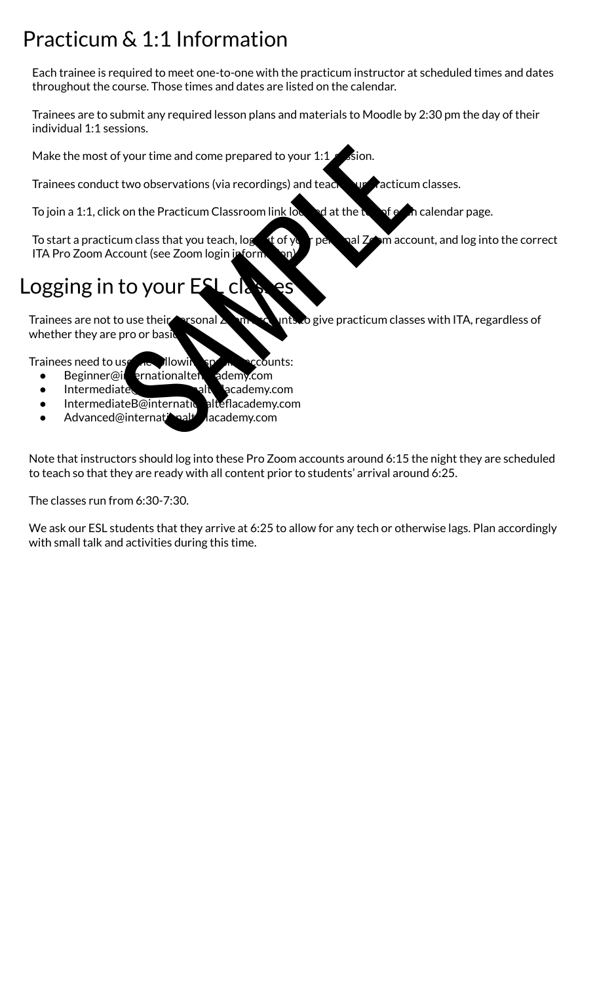# <span id="page-4-0"></span>Practicum & 1:1 Information

Each trainee is required to meet one-to-one with the practicum instructor at scheduled times and dates throughout the course. Those times and dates are listed on the calendar.

Trainees are to submit any required lesson plans and materials to Moodle by 2:30 pm the day of their individual 1:1 sessions.

Make the most of your time and come prepared to your  $1:1$  sion.

Trainees conduct two observations (via recordings) and teach survacticum classes.

To join a 1:1, click on the Practicum Classroom link located at the top of each calendar page.

To start a practicum class that you teach,  $\log$  of your personal Zoom account, and log into the correct ITA Pro Zoom Account (see Zoom login inform From time and come prepared to your 1:1<br>
t two observations (via recordings) and teach<br>
k on the Practicum Classroom link low<br>
to the Practicum Classroom link low<br>
to your sex and you teach, log<br>
to your ECCCCCCCCCCCCCCCCC

# Logging in to your ESL classes

Trainees are not to use their personal  $\lambda$  on  $\lambda$  unts to give practicum classes with ITA, regardless of whether they are pro or basi

Trainees need to use the flowing specific accounts:

- $\bullet$  Beginner@internationalteflacedemy.com
- Intermediate
- IntermediateB@internationalteflacademy.com
- Advanced@internationalteflacademy.com

Note that instructors should log into these Pro Zoom accounts around 6:15 the night they are scheduled to teach so that they are ready with all content prior to students' arrival around 6:25.

The classes run from 6:30-7:30.

We ask our ESL students that they arrive at 6:25 to allow for any tech or otherwise lags. Plan accordingly with small talk and activities during this time.